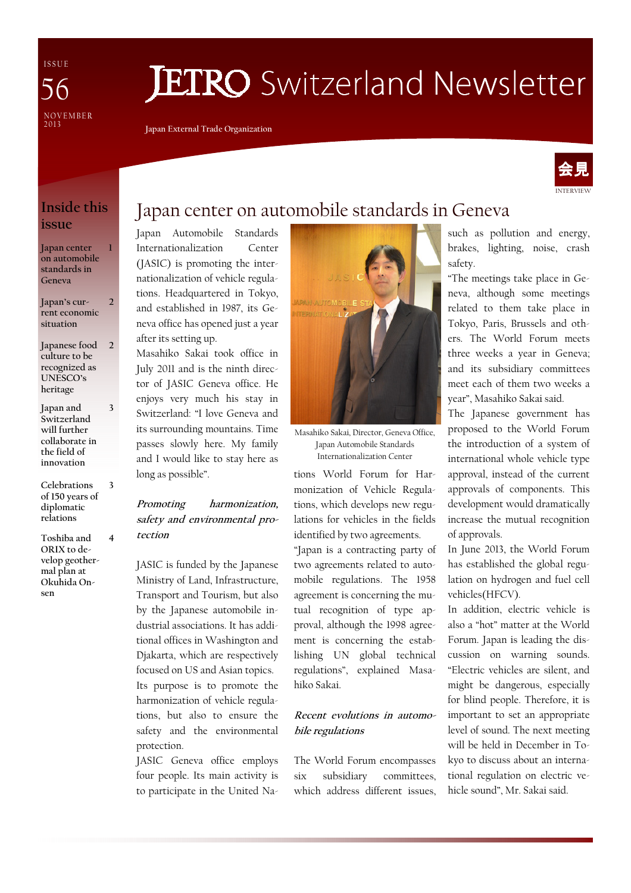I S S U E NOVEMBER<br>2013 56

# **JETRO** Switzerland Newsletter

Japan External Trade Organization



## Inside this issue

1

3

3

4

Japan center on automobile standards in Geneva

Japan's current economic situation  $\overline{\mathcal{L}}$ 

- Japanese food culture to be recognized as UNESCO's heritage 2
- Japan and Switzerland will further collaborate in the field of innovation
- Celebrations of 150 years of diplomatic relations
- Toshiba and ORIX to develop geothermal plan at Okuhida Onsen

# Japan center on automobile standards in Geneva

Japan Automobile Standards Internationalization Center (JASIC) is promoting the internationalization of vehicle regulations. Headquartered in Tokyo, and established in 1987, its Geneva office has opened just a year after its setting up.

Masahiko Sakai took office in July 2011 and is the ninth director of JASIC Geneva office. He enjoys very much his stay in Switzerland: "I love Geneva and its surrounding mountains. Time passes slowly here. My family and I would like to stay here as long as possible".

Promoting harmonization, safety and environmental protection

JASIC is funded by the Japanese Ministry of Land, Infrastructure, Transport and Tourism, but also by the Japanese automobile industrial associations. It has additional offices in Washington and Djakarta, which are respectively focused on US and Asian topics. Its purpose is to promote the harmonization of vehicle regulations, but also to ensure the safety and the environmental protection.

JASIC Geneva office employs four people. Its main activity is to participate in the United Na-



Masahiko Sakai, Director, Geneva Office, Japan Automobile Standards Internationalization Center

tions World Forum for Harmonization of Vehicle Regulations, which develops new regulations for vehicles in the fields identified by two agreements.

"Japan is a contracting party of two agreements related to automobile regulations. The 1958 agreement is concerning the mutual recognition of type approval, although the 1998 agreement is concerning the establishing UN global technical regulations", explained Masahiko Sakai.

#### Recent evolutions in automobile regulations

The World Forum encompasses six subsidiary committees, which address different issues, such as pollution and energy, brakes, lighting, noise, crash safety.

"The meetings take place in Geneva, although some meetings related to them take place in Tokyo, Paris, Brussels and others. The World Forum meets three weeks a year in Geneva; and its subsidiary committees meet each of them two weeks a year", Masahiko Sakai said.

The Japanese government has proposed to the World Forum the introduction of a system of international whole vehicle type approval, instead of the current approvals of components. This development would dramatically increase the mutual recognition of approvals.

In June 2013, the World Forum has established the global regulation on hydrogen and fuel cell vehicles(HFCV).

In addition, electric vehicle is also a "hot" matter at the World Forum. Japan is leading the discussion on warning sounds. "Electric vehicles are silent, and might be dangerous, especially for blind people. Therefore, it is important to set an appropriate level of sound. The next meeting will be held in December in Tokyo to discuss about an international regulation on electric vehicle sound", Mr. Sakai said.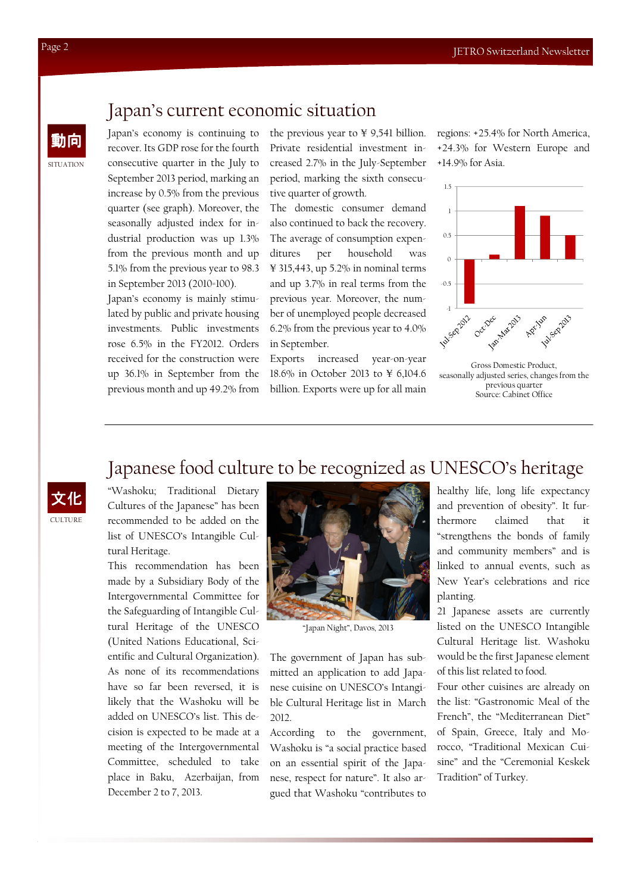# **SITUATION**

## Japan's current economic situation

動向 Japan's economy is continuing to recover. Its GDP rose for the fourth consecutive quarter in the July to September 2013 period, marking an increase by 0.5% from the previous quarter (see graph). Moreover, the seasonally adjusted index for industrial production was up 1.3% from the previous month and up 5.1% from the previous year to 98.3 in September 2013 (2010=100).

> Japan's economy is mainly stimulated by public and private housing investments. Public investments rose 6.5% in the FY2012. Orders received for the construction were up 36.1% in September from the previous month and up 49.2% from

the previous year to ¥ 9,541 billion. Private residential investment increased 2.7% in the July-September period, marking the sixth consecutive quarter of growth.

The domestic consumer demand also continued to back the recovery. The average of consumption expenditures per household was ¥ 315,443, up 5.2% in nominal terms and up 3.7% in real terms from the previous year. Moreover, the number of unemployed people decreased 6.2% from the previous year to 4.0% in September.

Exports increased year-on-year 18.6% in October 2013 to ¥ 6,104.6 billion. Exports were up for all main regions: +25.4% for North America, +24.3% for Western Europe and +14.9% for Asia.



Gross Domestic Product, seasonally adjusted series, changes from the previous quarter Source: Cabinet Office

# CULTURE 文化

Japanese food culture to be recognized as UNESCO's heritage "Washoku; Traditional Dietary Cultures of the Japanese" has been recommended to be added on the list of UNESCO's Intangible Cultural Heritage.

This recommendation has been made by a Subsidiary Body of the Intergovernmental Committee for the Safeguarding of Intangible Cultural Heritage of the UNESCO (United Nations Educational, Scientific and Cultural Organization). As none of its recommendations have so far been reversed, it is likely that the Washoku will be added on UNESCO's list. This decision is expected to be made at a meeting of the Intergovernmental Committee, scheduled to take place in Baku, Azerbaijan, from December 2 to 7, 2013.



"Japan Night", Davos, 2013

The government of Japan has submitted an application to add Japanese cuisine on UNESCO's Intangible Cultural Heritage list in March 2012.

According to the government, Washoku is "a social practice based on an essential spirit of the Japanese, respect for nature". It also argued that Washoku "contributes to

healthy life, long life expectancy and prevention of obesity". It furthermore claimed that it "strengthens the bonds of family and community members" and is linked to annual events, such as New Year's celebrations and rice planting.

21 Japanese assets are currently listed on the UNESCO Intangible Cultural Heritage list. Washoku would be the first Japanese element of this list related to food.

Four other cuisines are already on the list: "Gastronomic Meal of the French", the "Mediterranean Diet" of Spain, Greece, Italy and Morocco, "Traditional Mexican Cuisine" and the "Ceremonial Keskek Tradition" of Turkey.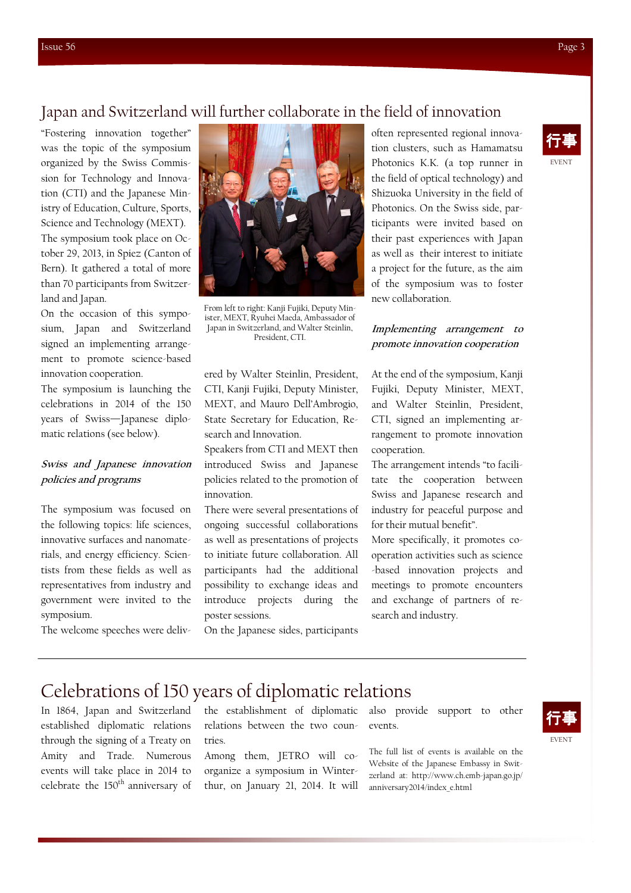## Japan and Switzerland will further collaborate in the field of innovation

"Fostering innovation together" was the topic of the symposium organized by the Swiss Commission for Technology and Innovation (CTI) and the Japanese Ministry of Education, Culture, Sports, Science and Technology (MEXT). The symposium took place on October 29, 2013, in Spiez (Canton of Bern). It gathered a total of more than 70 participants from Switzerland and Japan.

On the occasion of this symposium, Japan and Switzerland signed an implementing arrangement to promote science-based innovation cooperation.

The symposium is launching the celebrations in 2014 of the 150 years of Swiss—Japanese diplomatic relations (see below).

### Swiss and Japanese innovation policies and programs

The symposium was focused on the following topics: life sciences, innovative surfaces and nanomaterials, and energy efficiency. Scientists from these fields as well as representatives from industry and government were invited to the symposium.

The welcome speeches were deliv-



From left to right: Kanji Fujiki, Deputy Minister, MEXT, Ryuhei Maeda, Ambassador of Japan in Switzerland, and Walter Steinlin, President, CTI.

ered by Walter Steinlin, President, CTI, Kanji Fujiki, Deputy Minister, MEXT, and Mauro Dell'Ambrogio, State Secretary for Education, Research and Innovation.

Speakers from CTI and MEXT then introduced Swiss and Japanese policies related to the promotion of innovation.

There were several presentations of ongoing successful collaborations as well as presentations of projects to initiate future collaboration. All participants had the additional possibility to exchange ideas and introduce projects during the poster sessions.

On the Japanese sides, participants

often represented regional innovation clusters, such as Hamamatsu Photonics K.K. (a top runner in the field of optical technology) and Shizuoka University in the field of Photonics. On the Swiss side, participants were invited based on their past experiences with Japan as well as their interest to initiate a project for the future, as the aim of the symposium was to foster new collaboration.

### Implementing arrangement to promote innovation cooperation

At the end of the symposium, Kanji Fujiki, Deputy Minister, MEXT, and Walter Steinlin, President, CTI, signed an implementing arrangement to promote innovation cooperation.

The arrangement intends "to facilitate the cooperation between Swiss and Japanese research and industry for peaceful purpose and for their mutual benefit".

More specifically, it promotes cooperation activities such as science -based innovation projects and meetings to promote encounters and exchange of partners of research and industry.

## Celebrations of 150 years of diplomatic relations

In 1864, Japan and Switzerland established diplomatic relations through the signing of a Treaty on Amity and Trade. Numerous events will take place in 2014 to celebrate the 150<sup>th</sup> anniversary of the establishment of diplomatic relations between the two countries.

Among them, JETRO will coorganize a symposium in Winterthur, on January 21, 2014. It will also provide support to other events.

The full list of events is available on the Website of the Japanese Embassy in Switzerland at: http://www.ch.emb-japan.go.jp/ anniversary2014/index\_e.html